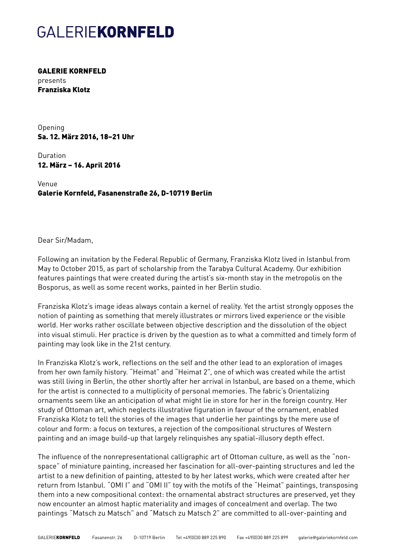## GALERIEKORNFELD

GALERIE KORNFELD presents Franziska Klotz

Opening Sa. 12. März 2016, 18–21 Uhr

Duration 12. März – 16. April 2016

Venue Galerie Kornfeld, Fasanenstraße 26, D-10719 Berlin

### Dear Sir/Madam,

Following an invitation by the Federal Republic of Germany, Franziska Klotz lived in Istanbul from May to October 2015, as part of scholarship from the Tarabya Cultural Academy. Our exhibition features paintings that were created during the artist's six-month stay in the metropolis on the Bosporus, as well as some recent works, painted in her Berlin studio.

Franziska Klotz's image ideas always contain a kernel of reality. Yet the artist strongly opposes the notion of painting as something that merely illustrates or mirrors lived experience or the visible world. Her works rather oscillate between objective description and the dissolution of the object into visual stimuli. Her practice is driven by the question as to what a committed and timely form of painting may look like in the 21st century.

In Franziska Klotz's work, reflections on the self and the other lead to an exploration of images from her own family history. "Heimat" and "Heimat 2", one of which was created while the artist was still living in Berlin, the other shortly after her arrival in Istanbul, are based on a theme, which for the artist is connected to a multiplicity of personal memories. The fabric's Orientalizing ornaments seem like an anticipation of what might lie in store for her in the foreign country. Her study of Ottoman art, which neglects illustrative figuration in favour of the ornament, enabled Franziska Klotz to tell the stories of the images that underlie her paintings by the mere use of colour and form: a focus on textures, a rejection of the compositional structures of Western painting and an image build-up that largely relinquishes any spatial-illusory depth effect.

The influence of the nonrepresentational calligraphic art of Ottoman culture, as well as the "nonspace" of miniature painting, increased her fascination for all-over-painting structures and led the artist to a new definition of painting, attested to by her latest works, which were created after her return from Istanbul. "OMI I" and "OMI II" toy with the motifs of the "Heimat" paintings, transposing them into a new compositional context: the ornamental abstract structures are preserved, yet they now encounter an almost haptic materiality and images of concealment and overlap. The two paintings "Matsch zu Matsch" and "Matsch zu Matsch 2" are committed to all-over-painting and